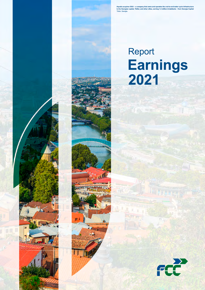**Aqualia acquires GGU – a company that owns and operates the end-to-end water cycle infrastructure in the Georgian capital, Tbilisi, and other cities, serving 1.4 million inhabitants – from Georgia Capital** Tbilisi. Georgia.

# **Earnings 2021** Report



画

n.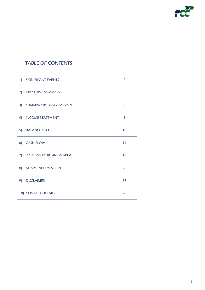

# TABLE OF CONTENTS

| 1)             | <b>SIGNIFICANT EVENTS</b>        | $\overline{2}$ |
|----------------|----------------------------------|----------------|
| 2)             | <b>EXECUTIVE SUMMARY</b>         | 3              |
| 3)             | SUMMARY BY BUSINESS AREA         | $\overline{4}$ |
| 4)             | <b>INCOME STATEMENT</b>          | 5              |
| 5)             | <b>BALANCE SHEET</b>             | 10             |
| 6 <sup>0</sup> | <b>CASH FLOW</b>                 | 14             |
| 7)             | <b>ANALYSIS BY BUSINESS AREA</b> | 16             |
| 8)             | <b>SHARE INFORMATION</b>         | 26             |
| 9)             | <b>DISCLAIMER</b>                | 27             |
|                | 10) CONTACT DETAILS              | 28             |
|                |                                  |                |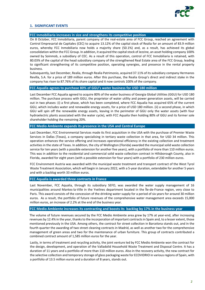

#### **1. SIGNIFICANT EVENTS**

#### **FCC Inmobiliaria increases in size and strengthens its competitive position**

On 8 October, FCC Inmobiliaria, parent company of the real-estate area of FCC Group, reached an agreement with Control Empresarial de Capitales (CEC) to acquire 13.12% of the capital stock of Realia for an amount of 83.9 million euros, whereby FCC Inmobiliaria now holds a majority share (50.1%) and, as a result, has achieved its global consolidation within the FCC Group. In addition, it acquired the capital stock of Jezzine, an asset holding company 100% owned by Soinmob, a subsidiary of CEC. As a result of this operation, control of FCC Inmobiliaria is retained, with 80.03% of the capital of the head subsidiary company of the strengthened Real Estate area of the FCC Group, leading to significant strengthening of its competitive position, operating synergies, and presence in the rental property business.

Subsequently, last December, Realia, through Realia Patrimonio, acquired 37.11% of its subsidiary company Hermanos Revilla, S.A. for a price of 189 million euros. After this purchase, the Realia Group's direct and indirect stake in the company has risen to 87.76% of its share capital and it now controls 100% of the company.

#### **FCC Aqualia agrees to purchase 80% of GGU's water business for USD 180 million**

Last December FCC Aqualia agreed to acquire 80% of the water business of Georgia Global Utilities (GGU) for USD 180 million. The purchase process with GGU, the proprietor of water utility and power generation assets, will be carried out in two phases: (i) a first phase, which has been completed, where FCC Aqualia has acquired 65% of the current GGU, which includes water and renewable energy assets, for a price of USD 180 million. (ii) a second phase, in which GGU will spin off the renewable energy assets, leaving in the perimeter of GGU only the water assets (with four hydroelectric plants associated with the water cycle), with FCC Aqualia then holding 80% of GGU and its former sole shareholder holding the remaining 20%.

#### **FCC Medio Ambiente expands its presence in the USA and Central Europe**

Last December, FCC Environmental Services made its first acquisition in the USA with the purchase of Premier Waste Services in Dallas (Texas), a company specialising in tertiary waste collection in that area, for USD 34 million. This operation enhances the service offering and increases operational efficiency in the existing collection and treatment activities in the state of Texas. In addition, the city of Wellington (Florida) awarded the municipal solid waste collection service for ten years (with a possible extension for another five years), with a portfolio of more than 110 million euros. This was in addition to the residential and commercial solid waste collection contract in Hillsborough County, also in Florida, awarded for eight years (with a possible extension for four years) with a portfolio of 230 million euros.

FCC Environment Austria was awarded with the municipal waste treatment and transport contract of the West Tyrol Waste Treatment Association, which will begin in January 2022, with a 5-year duration, extendable for another 5 years and with a backlog worth 33 million euros.

#### **FCC Aqualia is awarded three contracts in France**

Last November, FCC Aqualia, through its subsidiary SEFO, was awarded the water supply management of 16 municipalities around Mantes‐la‐Ville in the Yvelines department located in the Île‐de‐France region, very close to Paris. This award consists of the concession of the drinking water supply for a period of six years for around 30 million euros. As a result, the portfolio of future revenues of the comprehensive water management area exceeds 15,000 million euros, an increase of 2.2% at the end of the business year.

#### **FCC Medio Ambiente increases its contracting and boosts its backlog by 17% in the business year**

The volume of future revenues secured by the FCC Medio Ambiente area grew by 17% at year‐end, after increasing revenues by 12.4% in the year, thanks to the incorporation of important contracts in Spain and, to a lesser extent, those mentioned previously in the USA. Among others, the contract for street collection in Barcelona stands out, and in the fourth quarter the awarding of two street cleaning contracts in Madrid, as well as another two for the comprehensive management of green areas and two for the maintenance of urban furniture. This group of contracts contributed a combined contract amount of 1,585 million euros for the year.

Lastly, in terms of treatment and recycling activity, the joint venture led by FCC Medio Ambiente won the contract for the design, development, and operation of the Valladolid Household Waste Treatment and Disposal Centre. It has a duration of 11 years and a portfolio of more than 110 million euros. Also in the recovery activity, the new contract for the selective collection and temporary storage of glass packaging waste for ECOVIDRIO in variousregions of Spain, with a portfolio of 13.5 million euros and a duration of 8 years, stands out.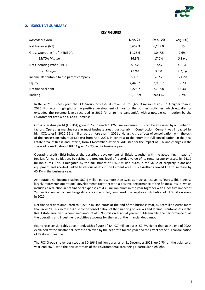

# **2. EXECUTIVE SUMMARY**

| <b>KEY FIGURES</b>                        |                |          |            |  |  |
|-------------------------------------------|----------------|----------|------------|--|--|
| (Millions of euros)                       | <b>Dec. 21</b> | Dec. 20  | Chg. (%)   |  |  |
| Net turnover (NT)                         | 6,659.3        | 6,158.0  | 8.1%       |  |  |
| Gross Operating Profit (EBITDA)           | 1,126.6        | 1,047.5  | 7.6%       |  |  |
| <b>EBITDA Margin</b>                      | 16.9%          | 17.0%    | $-0.1 p.p$ |  |  |
| Net Operating Profit (EBIT)               | 802.2          | 572.7    | 40.1%      |  |  |
| <b>EBIT Margin</b>                        | 12.0%          | 9.3%     | 2.7 p.p.   |  |  |
| Income attributable to the parent company | 580.1          | 262.2    | 121.2%     |  |  |
| Equity                                    | 4,440.7        | 2,908.7  | 52.7%      |  |  |
| Net financial debt                        | 3,225.7        | 2,797.8  | 15.3%      |  |  |
| <b>Backlog</b>                            | 30,196.9       | 29,411.7 | 2.7%       |  |  |

In the 2021 business year, the FCC Group increased its revenues to 6,659.3 million euros, 8.1% higher than in 2020. It is worth highlighting the positive development of most of the business activities, which equalled or exceeded the revenue levels recorded in 2019 (prior to the pandemic), with a notable contribution by the Environment area with a 12.4% increase.

Gross operating profit (EBITDA) grew 7.6%, to reach 1,126.6 million euros. This can be explained by a number of factors. Operating margins rose in most business areas, particularly in Construction. Cement was impacted by high CO2 sales in 2020, 51.1 million euros more than in 2021 and, lastly, the effects of consolidation, with the exit of the concession subgroup Cedinsa from April 2021, in contrast to the entry into full consolidation, in the Real Estate area, of Realia and Jezzine, from 1 November last year. Adjusted for the impact of CO2 and changes in the scope of consolidation, EBITDA grew 17.9% in the business year.

Operating profit (Ebit) includes the described development of Ebitda together with the accounting impact of Realia's full consolidation, by raising the previous level of recorded value of its rental property assets by 241.7 million euros. This is mitigated by the adjustment of 136.0 million euros in the value of property, plant and equipment and goodwill linked to various assets in the Cement area. This together allowed Ebit to increase by 40.1% in the business year.

Attributable net income reached 580.1 million euros, more than twice as much as last year's figures. This increase largely represents operational developments together with a positive performance of the financial result, which includes a reduction in net financial expenses of 43.5 million euros in the year together with a positive impact of 24.5 million euros from exchange differences recorded, compared to a negative contribution of 51.3 million euros in 2020.

Net financial debt amounted to 3,225.7 million euros at the end of the business year, 427.9 million euros more than in 2020. This increase is due to the consolidation of the financing of Realia's and Jezzine's rental assets in the Real Estate area, with a combined amount of 889.7 million euros at year-end. Meanwhile, the performance of all the operating and investment activities accounts for the rest of the financial debt amount.

Equity rose considerably at year‐end, with a figure of 4,440.7 million euros, 52.7% higher than at the end of 2020, explained by the substantial increase achieved by the net profit for the year and the effect of the full consolidation of Realia and Jezzine.

The FCC Group's revenues stood at 30,196.9 million euros as at 31 December 2021, up 2.7% on the balance at year-end 2020, with the new contracts of the Environmental area being a particular highlight.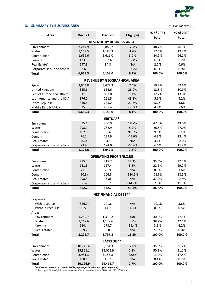

# **3. SUMMARY BY BUSINESS AREA** *(Millions of euros)*

| Area                            | <b>Dec. 21</b> | <b>Dec. 20</b>                 | Chg. (%)  | % of 2021<br>total | % of 2020<br>total |  |
|---------------------------------|----------------|--------------------------------|-----------|--------------------|--------------------|--|
| <b>REVENUE BY BUSINESS AREA</b> |                |                                |           |                    |                    |  |
| Environment                     | 3,244.9        | 2,888.2                        | 12.4%     | 48.7%              | 46.9%              |  |
| Water                           | 1,169.5        | 1,188.3                        | $-1.6%$   | 17.6%              | 19.3%              |  |
| Construction                    | 1,659.6        | 1,611.0                        | 3.0%      | 24.9%              | 26.2%              |  |
| Cement                          | 433.8          | 382.6                          | 13.4%     | 6.5%               | 6.2%               |  |
| Real Estate*                    | 147.9          | 34.8                           | N/A       | 2.2%               | 0.6%               |  |
| Corporate serv. and others      | 3.6            | 53.1                           | $-93.2%$  | 0.1%               | 0.9%               |  |
| <b>Total</b>                    | 6,659.3        | 6,158.0                        | 8.1%      | 100.0%             | 100.0%             |  |
|                                 |                | REVENUE BY GEOGRAPHICAL AREA   |           |                    |                    |  |
| Spain                           | 3,943.8        | 3,672.3                        | 7.4%      | 59.2%              | 59.6%              |  |
| United Kingdom                  | 855.6          | 668.6                          | 28.0%     | 12.8%              | 10.9%              |  |
| Rest of Europe and Others       | 811.5          | 803.0                          | 1.1%      | 12.2%              | 13.0%              |  |
| Latin America and the US A      | 376.0          | 261.5                          | 43.8%     | 5.6%               | 4.2%               |  |
| Czech Republic                  | 346.6          | 285.2                          | 21.5%     | 5.2%               | 4.6%               |  |
| Middle East & Africa            | 325.8          | 467.4                          | $-30.3%$  | 4.9%               | 7.6%               |  |
| <b>Total</b>                    | 6,659.3        | 6,158.0                        | 8.1%      | 100.0%             | 100.0%             |  |
|                                 |                | <b>EBITDA**</b>                |           |                    |                    |  |
| Environment                     | 535.1          | 450.9                          | 18.7%     | 47.5%              | 43.0%              |  |
| Water                           | 298.9          | 282.9                          | 5.7%      | 26.5%              | 27.0%              |  |
| Construction                    | 102.6          | 53.6                           | 91.5%     | 9.1%               | 5.1%               |  |
| Cement                          | 76.1           | 139.9                          | $-45.6%$  | 6.8%               | 13.4%              |  |
| Real Estate*                    | 40.0           | $-3.8$                         | N/A       | 3.6%               | $-0.4%$            |  |
| Corporate serv. and others      | 73.9           | 124.0                          | $-40.4%$  | 6.6%               | 11.8%              |  |
| <b>Total</b>                    | 1,126.6        | 1,047.5                        | 7.6%      | 100.0%             | 100.0%             |  |
|                                 |                | <b>OPERATING PROFIT/(LOSS)</b> |           |                    |                    |  |
| Environment                     | 285.4          | 215.7                          | 32.3%     | 35.6%              | 37.7%              |  |
| Water                           | 181.3          | 167.4                          | 8.3%      | 22.6%              | 29.2%              |  |
| Construction                    | 71.1           | 20.9                           | N/A       | 8.9%               | 3.6%               |  |
| Cement                          | (90.3)         | 106.8                          | $-184.6%$ | $-11.3%$           | 18.6%              |  |
| Real Estate*                    | 298.3          | (3.8)                          | N/A       | 37.2%              | $-0.7%$            |  |
| Corporate serv. and others      | 56.4           | 65.7                           | $-14.2%$  | 7.0%               | 11.5%              |  |
| <b>Total</b>                    | 802.2          | 572.7                          | 40.1%     | 100.0%             | 100.0%             |  |
|                                 |                | <b>NET FINANCIAL DEBT**</b>    |           |                    |                    |  |
| Corporate                       |                |                                |           |                    |                    |  |
| With recourse                   | (326.0)        | 101.6                          | N/A       | $-10.1%$           | 3.6%               |  |
| Without recourse                | 0.5            | 14.7                           | $-96.6%$  | 0.0%               | 0.5%               |  |
| Areas                           |                |                                |           |                    |                    |  |
| Environment                     | 1,289.7        | 1,330.2                        | $-3.0%$   | 40.0%              | 47.5%              |  |
| Water                           | 1,247.6        | 1,177.6                        | 5.9%      | 38.7%              | 42.1%              |  |
| Cement                          | 124.4          | 173.7                          | $-28.4%$  | 3.9%               | 6.2%               |  |
| Real Estate*                    | 889.7          | 0.0                            | N/A       | 27.6%              | 0.0%               |  |
| <b>Total</b>                    | 3,225.7        | 2,797.8                        | 15.3%     | 100.0%             | 100.0%             |  |
|                                 |                | <b>BACKLOG**</b>               |           |                    |                    |  |
| Environment                     | 10,746.4       | 9,184.3                        | 17.0%     | 35.6%              | 31.2%              |  |
| Water                           | 15,361.1       | 15,025.9                       | 2.2%      | 50.9%              | 51.1%              |  |
| Construction                    | 3,981.3        | 5,155.8                        | $-22.8%$  | 13.2%              | 17.5%              |  |
| Real Estate*                    | 108.1          | 45.7                           | N/A       | 0.4%               | 0.2%               |  |
| <b>Total</b>                    | 30,196.9       | 29,411.7                       | 2.7%      | 100.0%             | 100.0%             |  |

**\****Real Estate presents its consolidated key figures for both business years separately.*

*\*\* See page 27 for a definition of the calculation in accordance with ESMA rules (2015/1415en).*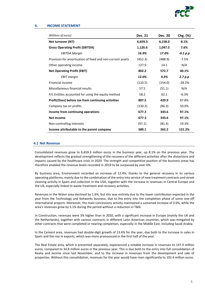

#### **4. INCOME STATEMENT**

| (Millions of euros)                                        | <b>Dec. 21</b> | <b>Dec. 20</b> | Chg. (%)   |
|------------------------------------------------------------|----------------|----------------|------------|
| Net turnover (NT)                                          | 6,659.3        | 6,158.0        | 8.1%       |
| <b>Gross Operating Profit (EBITDA)</b>                     | 1,126.6        | 1,047.5        | 7.6%       |
| <b>EBITDA Margin</b>                                       | 16.9%          | 17.0%          | $-0.1 p.p$ |
| Provision for amortisation of fixed and non-current assets | (452.3)        | (488.9)        | $-7.5%$    |
| Other operating income                                     | 127.9          | 14.1           | N/A        |
| <b>Net Operating Profit (EBIT)</b>                         | 802.2          | 572.7          | 40.1%      |
| <b>EBIT</b> margin                                         | 12.0%          | 9.3%           | 2.7 p.p    |
| Financial income                                           | (110.5)        | (154.0)        | $-28.2%$   |
| Miscellaneous financial results                            | 57.5           | (51.1)         | N/A        |
| P/L Entities accounted for using the equity method         | 58.2           | 62.1           | $-6.3%$    |
| Profit/(loss) before tax from continuing activities        | 807.5          | 429.9          | 87.8%      |
| Company tax on profits                                     | (130.2)        | (86.3)         | 50.9%      |
| Income from continuing operations                          | 677.3          | 343.6          | 97.1%      |
| <b>Net Income</b>                                          | 677.3          | 343.6          | 97.1%      |
| Non-controlling interests                                  | (97.1)         | (81.4)         | 19.3%      |
| Income attributable to the parent company                  | 580.1          | 262.2          | 121.2%     |

#### **4.1 Net Revenue**

Consolidated revenues grew to 6,659.3 million euros in the business year, up 8.1% on the previous year. The development reflects the gradual strengthening of the recovery of the different activities after the distortions and impacts caused by the healthcare crisis in 2020. The strength and competitive position of the business areas has therefore enabled the revenue levels recorded in 2019 to be surpassed by over 6%.

By business area, Environment recorded an increase of 12.4%, thanks to the general recovery in its various operating platforms, mainly due to the combination of the entry into service of new treatment contracts and street cleaning activity in Spain and collection in the USA, together with the increase in revenues in Central Europe and the UK, especially linked to waste treatment and recovery activities.

Revenues in the Water area declined by 1.6%, but this was entirely due to the lower contribution expected in the year from the Technology and Networks business, due to the entry into the completion phase of some one‐off international projects. Moreover, the main concessions activity maintained a sustained increase of 3.6%, while the area's revenues grew by 3.1% during the period without a reduction in T&N.

In Construction, revenues were 3% higher than in 2020, with a significant increase in Europe (mainly the UK and the Netherlands), together with various contracts in different Latin American countries, which was mitigated by other contracts that were completed or nearing completion, especially in the Middle East, including Saudi Arabia.

In the Cement area, revenues had double-digit growth of 13.4% for the year, due both to the increase in sales in Spain and the rise in exports, which was more pronounced in the first half of the year.

The Real Estate area, which is presented separately, experienced a notable increase in revenues to 147.9 million euros, compared to 34.8 million euros in the previous year. This is due both to the entry into full consolidation of Realia and Jezzine since last November, and to the increase in revenues from the development and sale of properties. Without this consolidation, revenues for the year would have risen significantly to 102.4 million euros.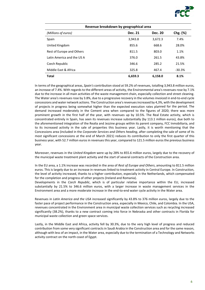

| Revenue breakdown by geographical area |                |                |          |  |
|----------------------------------------|----------------|----------------|----------|--|
| (Millions of euros)                    | <b>Dec. 21</b> | <b>Dec. 20</b> | Chg. (%) |  |
| Spain                                  | 3,943.8        | 3,672.3        | 7.4%     |  |
| United Kingdom                         | 855.6          | 668.6          | 28.0%    |  |
| Rest of Europe and Others              | 811.5          | 803.0          | 1.1%     |  |
| Latin America and the US A             | 376.0          | 261.5          | 43.8%    |  |
| Czech Republic                         | 346.6          | 285.2          | 21.5%    |  |
| Middle East & Africa                   | 325.8          | 467.4          | $-30.3%$ |  |
| <b>Total</b>                           | 6,659.3        | 6.158.0        | 8.1%     |  |

In terms of the geographical areas, *Spain's* contribution stood at 59.2% of revenues, totalling 3,943.8 million euros, an increase of 7.4%. With regards to the different areas of activity, the Environmental area's revenues rose by 7.1% due to the increase in all main activities of the waste management chain, especially collection and street cleaning. The Water area's revenues rose by 3.8%, due to a progressive recovery in the volumes invoiced in end-to-end cycle concessions and water network actions. The Construction area's revenues increased by 4,3%, with the development of projects in progress being somewhat higher than the expected execution rates planned for the period. The demand increased moderately in the Cement area when compared to the figures of 2020; there was more prominent growth in the first half of the year, with revenues up by 10.5%. The Real Estate activity, which is concentrated entirely in Spain, has seen its revenues increase substantially (by 113.1 million euros), due both to the aforementioned integration of the Realia and Jezzine groups within its parent company, FCC Inmobiliaria, and to its increased activity in the sale of properties this business year. Lastly, it is worth mentioning that the Concessions area (included in the *Corporate Services and Others heading*, after completing the sale of some of its most significant concessions at the end of March 2021) reduces its contribution to only the first quarter of this business year, with 52.7 million euros in revenues this year, compared to 121.5 million euros the previous business year.

Moreover, revenues in the *United Kingdom* were up by 28% to 855.6 million euros, largely due to the recovery of the municipal waste treatment plant activity and the start of several contracts of the Construction area.

In the EU area, a 1.1% increase was recorded in the area of *Rest of Europe and Others*, amounting to 811.5 million euros. This is largely due to an increase in revenues linked to treatment activity in Central Europe. In Construction, the level of activity increased, thanks to a higher contribution, especially in the Netherlands, which compensated for the completion and progress of other projects (Ireland and Romania).

Developments in the *Czech Republic*, which is of particular relative importance within the EU, increased substantially by 21.5% to 346.6 million euros, with a larger increase in waste management services in the Environment area and a more moderate increase in the end-to-end water cycle activity in the Water area.

Revenues in *Latin America and the USA* increased significantly by 43.8% to 376 million euros, largely due to the faster pace of project performance in the Construction area, especially in Mexico, Chile, and Colombia. In the USA, revenues concentrated in the Environment area in municipal waste collection services such as recycling increased significantly (38.2%), thanks to a new contract coming into force in Nebraska and other contracts in Florida for municipal waste collection and green space services.

Lastly, in the Middle East and Africa, activity fell by 30.3%, due to the very high level of progress and reduced contribution from some very significant contractsin Saudi Arabia in the Construction area and for the same reason, although with less of an impact, in the Water area, especially due to the termination of a Technology and Networks activity contract on the north coast of Egypt.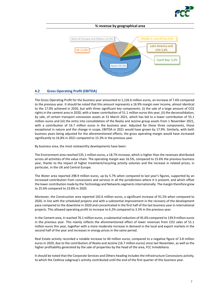

#### **% revenue by geographical area**



# **4.2 Gross Operating Profit (EBITDA)**

The Gross Operating Profit for the business year amounted to 1,126.6 million euros, an increase of 7.6% compared to the previous year. It should be noted that this amount represents a 16.9% margin over income, almost identical to the 17.0% achieved in 2020, but with three significant key components: (i) the sale of a large amount of CO2 rights in the cement area in 2020, with a lower contribution of 51.1 million euros this year, (ii) the deconsolidation, by sale, of certain transport concession assets at 31 March 2021, which has led to a lower contribution of 55.1 million euros and (iii) the entry into consolidation of the Realia and Jezzine group assets from 1 November 2021, with a contribution of 16.7 million euros in the business year. Adjusted for these three components, those exceptional in nature and the change in scope, EBITDA in 2021 would have grown by 17.9%. Similarly, with both business years being adjusted for the aforementioned effects, the gross operating margin would have increased significantly to 16.8% in 2021 compared to 15.3% in the previous year.

By business area, the most noteworthy developments have been:

The Environment area reached 535.1 million euros, a 18.7% increase, which is higher than the revenues distributed across all activities of the value chain. The operating margin was 16.5%, compared to 15.6% the previous business year, thanks to the impact of higher treatment/recycling activity volumes and the increase in related prices, in particular, in the UK and Central Europe.

The Water area reported 298.9 million euros, up by 5.7% when compared to last year's figures, supported by an increased contribution from concessions and services in all the jurisdictions where it is present, and which offset the lower contribution made by the Technology and Networks segments internationally. The margin therefore grew to 25.6% compared to 23.8% in 2020.

Moreover, the Construction area reported 102.6 million euros, a significant increase of 91.5% when compared to 2020, in line with the scheduled projects and with a substantial improvement in the recovery of the development pace compared to the downtime in 2020 and concentrated in the first half of the last business year in international projects. This allowed operating profit to increase to 6.2% compared to 3.3% in the previous year.

In the Cement area, it reached 76.1 million euros, a substantial reduction of 45.6% compared to 139.9 million euros in the previous year. This mainly reflects the aforementioned effect of lower revenues from CO2 sales of 51.1 million euros this year, together with a more moderate increase in demand in the local and export markets in the second half of the year and increases in energy prices in the same period.

Real Estate activity recorded a notable increase to 40 million euros, compared to a negative figure of 3.8 million euros in 2020, due to the contribution of Realia and Jezzine (16.7 million euros) since last November, as well as the higher profitability generated by the sale of properties by the head of the area, FCC Inmobiliaria.

It should be noted that the Corporate Services and Others heading includes the Infrastructure Concessions activity, to which the Cedinsa subgroup's activity contributed until the end of the first quarter of this business year.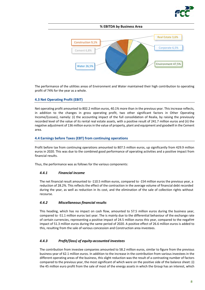



The performance of the utilities areas of Environment and Water maintained their high contribution to operating profit of 74% for the year as a whole.

# **4.3 Net Operating Profit (EBIT)**

Net operating profit amounted to 802.2 million euros, 40.1% more than in the previous year. This increase reflects, in addition to the changes in gross operating profit, two other significant factors in Other Operating Income/(Losses), namely: (i) the accounting impact of the full consolidation of Realia, by raising the previously recorded level of the value of its rental real estate assets, with a positive result of 241.7 million euros and (ii) the negative adjustment of 136 million euros in the value of property, plant and equipment and goodwill in the Cement area.

# **4.4 Earnings before Taxes (EBT) from continuing operations**

Profit before tax from continuing operations amounted to 807.5 million euros, up significantly from 429.9 million euros in 2020. This was due to the combined good performance of operating activities and a positive impact from financial results.

Thus, the performance was as follows for the various components:

# *4.4.1 Financial income*

The net financial result amounted to ‐110.5 million euros, compared to ‐154 million euros the previous year, a reduction of 28.2%. This reflects the effect of the contraction in the average volume of financial debt recorded during the year, as well as reduction in its cost, and the elimination of the sale of collection rights without recourse.

# *4.4.2 Miscellaneous financial results*

This heading, which has no impact on cash flow, amounted to 57.5 million euros during the business year, compared to ‐51.1 million euros last year. The is mainly due to the differential behaviour of the exchange rate of certain currencies, representing a positive impact of 24.5 million euros this year, compared to the negative impact of 51.3 million euros during the same period of 2020. A positive effect of 26.6 million euros is added to this, resulting from the sale of various concession and Construction area investees.

# *4.4.3 Profit/(loss) of equity‐accounted investees*

The contribution from investee companies amounted to 58.2 million euros, similar to figure from the previous business year of 62.1 million euros. In addition to the increase in the contribution from various investees in the different operating areas of the business, this slight reduction was the result of a contrasting number of factors compared to the previous year, the most significant of which were on the positive side of the balance sheet: (i) the 45 million euro profit from the sale of most of the energy assets in which the Group has an interest, which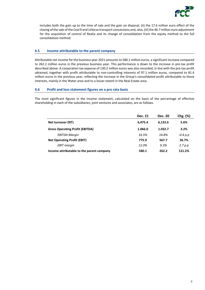

includes both the gain up to the time of sale and the gain on disposal, (ii) the 17.6 million euro effect of the closing of the sale of the Ceal 9 and Urbicsa transport concessions and, also, (iii) the 46.7 million euro adjustment for the acquisition of control of Realia and its change of consolidation from the equity method to the full consolidation method.

# **4.5 Income attributable to the parent company**

Attributable net income for the business year 2021 amountsto 580.1 million euros, a significant increase compared to 262.2 million euros in the previous business year. This performance is down to the increase in pre‐tax profit described above. A corporation tax expense of 130.2 million euros was also recorded, in line with the pre‐tax profit obtained, together with profit attributable to non-controlling interests of 97.1 million euros, compared to 81.4 million euros in the previous year, reflecting the increase in the Group's consolidated profit attributable to those interests, mainly in the Water area and to a lesser extent in the Real Estate area.

# **4.6 Profit and loss statement figures on a pro rata basis**

The most significant figures in the income statement, calculated on the basis of the percentage of effective shareholding in each of the subsidiaries, joint ventures and associates, are as follows.

|                                           | Dec. 21 | Dec. 20 | Chg. (%)   |
|-------------------------------------------|---------|---------|------------|
| Net turnover (NT)                         | 6.475.4 | 6.132.6 | 5.6%       |
| <b>Gross Operating Profit (EBITDA)</b>    | 1.066.0 | 1.032.7 | 3.2%       |
| <b>EBITDA Margin</b>                      | 16.5%   | 16.8%   | $-0.4 p.p$ |
| <b>Net Operating Profit (EBIT)</b>        | 775.9   | 567.7   | 36.7%      |
| <b>EBIT</b> margin                        | 12.0%   | $9.3\%$ | 2.7 p.p    |
| Income attributable to the parent company | 580.1   | 262.2   | 121.2%     |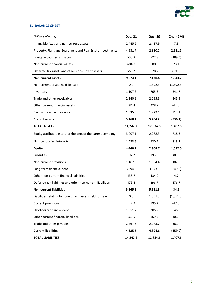

# **5. BALANCE SHEET**

| (Millions of euros)                                        | <b>Dec. 21</b> | <b>Dec. 20</b> | Chg. $(\epsilon M)$ |
|------------------------------------------------------------|----------------|----------------|---------------------|
| Intangible fixed and non-current assets                    | 2,445.2        | 2,437.9        | 7.3                 |
| Property, Plant and Equipment and Real Estate Investments  | 4,931.7        | 2,810.2        | 2,121.5             |
| Equity-accounted affiliates                                | 533.8          | 722.8          | (189.0)             |
| Non-current financial assets                               | 604.0          | 580.9          | 23.1                |
| Deferred tax assets and other non-current assets           | 559.2          | 578.7          | (19.5)              |
| <b>Non-current assets</b>                                  | 9,074.1        | 7,130.4        | 1,943.7             |
| Non-current assets held for sale                           | 0.0            | 1,392.3        | (1, 392.3)          |
| Inventory                                                  | 1,107.3        | 765.6          | 341.7               |
| Trade and other receivables                                | 2,340.9        | 2,095.6        | 245.3               |
| Other current financial assets                             | 184.4          | 228.7          | (44.3)              |
| Cash and cash equivalents                                  | 1,535.5        | 1,222.1        | 313.4               |
| <b>Current assets</b>                                      | 5,168.1        | 5,704.2        | (536.1)             |
| <b>TOTAL ASSETS</b>                                        | 14,242.2       | 12,834.6       | 1.407.6             |
| Equity attributable to shareholders of the parent company  | 3,007.1        | 2,288.3        | 718.8               |
| Non-controlling interests                                  | 1.433.6        | 620.4          | 813.2               |
| <b>Equity</b>                                              | 4,440.7        | 2,908.7        | 1,532.0             |
| <b>Subsidies</b>                                           | 192.2          | 193.0          | (0.8)               |
| Non-current provisions                                     | 1,167.3        | 1,064.4        | 102.9               |
| Long-term financial debt                                   | 3,294.3        | 3,543.3        | (249.0)             |
| Other non-current financial liabilities                    | 438.7          | 434.0          | 4.7                 |
| Deferred tax liabilities and other non-current liabilities | 473.4          | 296.7          | 176.7               |
| <b>Non-current liabilities</b>                             | 5,565.9        | 5,531.3        | 34.6                |
| Liabilities relating to non-current assets held for sale   | 0.0            | 1,051.3        | (1,051.3)           |
| <b>Current provisions</b>                                  | 147.9          | 195.2          | (47.3)              |
| Short-term financial debt                                  | 1,651.2        | 705.2          | 946.0               |
| Other current financial liabilities                        | 169.0          | 169.2          | (0.2)               |
| Trade and other payables                                   | 2,267.5        | 2,273.7        | (6.2)               |
| <b>Current liabilities</b>                                 | 4,235.6        | 4,394.6        | (159.0)             |
| <b>TOTAL LIABILITIES</b>                                   | 14,242.2       | 12,834.6       | 1,407.6             |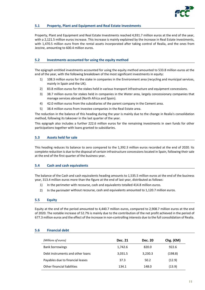

# **5.1 Property, Plant and Equipment and Real Estate Investments**

Property, Plant and Equipment and Real Estate Investments reached 4,931.7 million euros at the end of the year, with a 2,121.5 million euros increase. This increase is mainly explained by the increase in Real Estate investments, with 1,470.5 million euro from the rental assets incorporated after taking control of Realia, and the ones from Jezzine, amounting to 600.4 million euros.

# **5.2 Investments accounted for using the equity method**

The epigraph entitled investments accounted for using the equity method amounted to 533.8 million euros at the end of the year, with the following breakdown of the most significant investments in equity:

- 1) 108.3 million euros for the stake in companies in the Environment area (recycling and municipal services, mainly in Spain and the UK).
- 2) 83.8 million euros for the stakes held in various transport infrastructure and equipment concessions.
- 3) 38.7 million euros for stakes held in companies in the Water area, largely concessionary companies that manage services abroad (North Africa and Spain).
- 4) 42.0 million euros from the subsidiaries of the parent company in the Cement area.
- 5) 38.4 million euros from investee companies in the Real Estate area.

The reduction in the balance of this heading during the year is mainly due to the change in Realia's consolidation method, following its takeover in the last quarter of the year.

This epigraph also includes a further 222.6 million euros for the remaining investments in own funds for other participations together with loans granted to subsidiaries.

#### **5.3 Assets held for sale**

This heading reduces its balance to zero compared to the 1,392.3 million euros recorded at the end of 2020. Its complete reduction is due to the disposal of certain infrastructure concessions located in Spain, following their sale at the end of the first quarter of the business year.

# **5.4 Cash and cash equivalents**

The balance of the Cash and cash equivalents heading amounts to 1,535.5 million euros at the end of the business year, 313.4 million euros more than the figure at the end of last year, distributed as follows:

- 1) In the perimeter with recourse, cash and equivalents totalled 414.8 million euros.
- 2) In the perimeter without recourse, cash and equivalents amounted to 1,120.7 million euros.

# **5.5 Equity**

Equity at the end of the period amounted to 4,440.7 million euros, compared to 2,908.7 million euros at the end of 2020. The notable increase of 52.7% is mainly due to the contribution of the net profit achieved in the period of 677.3 million euros and the effect of the increase in non‐controlling interests due to the full consolidation of Realia.

#### **5.6 Financial debt**

| (Millions of euros)              | Dec. 21 | <b>Dec. 20</b> | Chg. $(\epsilon M)$ |
|----------------------------------|---------|----------------|---------------------|
| <b>Bank borrowings</b>           | 1,742.6 | 820.0          | 922.6               |
| Debt instruments and other loans | 3,031.5 | 3,230.3        | (198.8)             |
| Payables due to financial leases | 37.3    | 50.2           | (12.9)              |
| Other financial liabilities      | 134.1   | 148.0          | (13.9)              |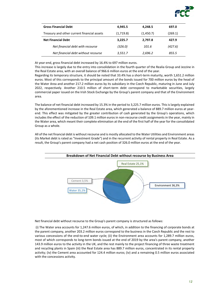

| <b>Gross Financial Debt</b>                 | 4,945.5   | 4,248.5   | 697.0   |
|---------------------------------------------|-----------|-----------|---------|
| Treasury and other current financial assets | (1,719.8) | (1,450.7) | (269.1) |
| <b>Net Financial Debt</b>                   | 3,225.7   | 2,797.8   | 427.9   |
| Net financial debt with recourse            | (326.0)   | 101.6     | (427.6) |
| Net financial debt without recourse         | 3,551.7   | 2,696.2   | 855.5   |

At year-end, gross financial debt increased by 16.4% to 697 million euros.

This increase is largely due to the entry into consolidation in the fourth quarter of the Realia Group and Jezzine in the Real Estate area, with an overall balance of 966.6 million euros at the end of the year.

Regarding its temporary structure, it should be noted that 33.4% has a short-term maturity, worth 1,651.2 million euros. Most of this corresponds to the principal amount of the bonds issued for 700 million euros by the head of the Water Area and another 217.2 million euros by its subsidiary in the Czech Republic, maturing in June and July 2022, respectively. Another 210.5 million of short-term debt correspond to marketable securities, largely commercial paper issued on the Irish Stock Exchange by the Group's parent company and that of the Environment area.

The balance of net financial debt increased by 15.3% in the period to 3,225.7 million euros. This is largely explained by the aforementioned increase in the Real Estate area, which generated a balance of 889.7 million euros at yearend. This effect was mitigated by the greater contribution of cash generated by the Group's operations, which includes the effect of the reduction of 109.1 million euros in non-recourse credit assignments in the year, mainly in the Water area, which meant their complete elimination at the end of the first half of the year for the consolidated Group as a whole.

All of the net financial debt is without recourse and is mostly allocated to the Water Utilities and Environment areas (its Market debt is rated as "Investment Grade") and in the recurrent activity of rental property in Real Estate. As a result, the Group's parent company had a net cash position of 326.0 million euros at the end of the year.



Net financial debt without recourse to the Group's parent company is structured as follows:

(i) The Water area accounts for 1,247.6 million euros, of which, in addition to the financing of corporate bonds at the parent company, another 203.2 million euros correspond to the business in the Czech Republic and the rest to various concessions of the end-to-end water cycle; (ii) the Environment area accounts for 1,289.7 million euros, most of which corresponds to long‐term bonds issued at the end of 2019 by the area's parent company, another 143.9 million euros to the activity in the UK, and the rest mainly to the project financing of three waste treatment and recycling plants in Spain (iii) the Real Estate area has 889.7 million euros, concentrated in its rental property activity; (iv) the Cement area accounted for 124.4 million euros; (iv) and a remaining 0.5 million euros associated with the concessions activity.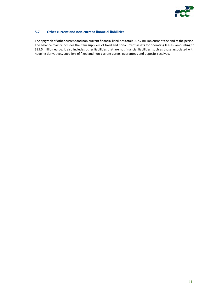

# **5.7 Other current and non‐current financial liabilities**

The epigraph of other current and non-current financial liabilities totals 607.7 million euros at the end of the period. The balance mainly includes the item suppliers of fixed and non-current assets for operating leases, amounting to 395.5 million euros. It also includes other liabilities that are not financial liabilities, such as those associated with hedging derivatives, suppliers of fixed and non-current assets, guarantees and deposits received.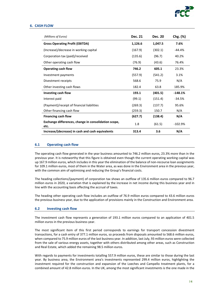

#### **6. CASH FLOW**

| (Millions of Euros)                                          | <b>Dec. 21</b> | <b>Dec. 20</b> | Chg. (%)  |
|--------------------------------------------------------------|----------------|----------------|-----------|
| <b>Gross Operating Profit (EBITDA)</b>                       | 1,126.6        | 1,047.5        | 7.6%      |
| (Increase)/decrease in working capital                       | (167.9)        | (302.1)        | -44.4%    |
| Corporation tax (paid)/received                              | (135.6)        | (96.7)         | 40.2%     |
| Other operating cash flow                                    | (76.9)         | (43.6)         | 76.4%     |
| <b>Operating cash flow</b>                                   | 746.2          | 605.1          | 23.3%     |
| Investment payments                                          | (557.9)        | (541.2)        | 3.1%      |
| Divestment receipts                                          | 568.6          | 75.9           | N/A       |
| Other investing cash flows                                   | 182.4          | 63.8           | 185.9%    |
| Investing cash flow                                          | 193.1          | (401.5)        | $-148.1%$ |
| Interest paid                                                | (99.1)         | (151.4)        | $-34.5%$  |
| (Payment)/receipt of financial liabilities                   | (269.3)        | (137.7)        | 95.6%     |
| Other financing cash flow                                    | (259.3)        | 150.7          | N/A       |
| <b>Financing cash flow</b>                                   | (627.7)        | (138.4)        | N/A       |
| Exchange differences, change in consolidation scope,<br>etc. | 1.8            | (61.5)         | $-102.9%$ |
| Increase/(decrease) in cash and cash equivalents             | 313.4          | 3.6            | N/A       |

#### **6.1 Operating cash flow**

The operating cash flow generated in the year business amounted to 746.2 million euros, 23.3% more than in the previous year. It is noteworthy that this figure is obtained even though the current operating working capital was up 167.9 million euros, which includes in this year the elimination of the balance of non‐recourse loan assignments for 109.1 million euros, most of them in the Water area, as was done in the Environment area in the previous year, with the common aim of optimising and reducing the Group's financial costs.

The heading collections/(payment) of corporation tax shows an outflow of 135.6 million euros compared to 96.7 million euros in 2020, a variation that is explained by the increase in net income during this business year and in line with the accounting basis affecting the accrual of taxes.

The heading other operating cash flow includes an outflow of 76.9 million euros compared to 43.6 million euros the previous business year, due to the application of provisions mainly in the Construction and Environment area.

#### **6.2 Investing cash flow**

The investment cash flow represents a generation of 193.1 million euros compared to an application of 401.5 million euros in the previous business year.

The most significant item of this first period corresponds to earnings for transport concession divestment transactions, for a cash entry of 377.1 million euros, so proceeds from disposals amounted to 568.6 million euros, when compared to 75.9 million euros of the last business year. In addition, last July, 93 million euros were collected from the sale of various energy assets, together with others distributed among other areas, such as Construction and Real Estate, which added the remaining 98.5 million euros.

With regards to payments for investments totalling 557.9 million euros, these are similar to those during the last year. By business area, the Environment area's investments represented 299.4 million euros, highlighting the investment required for the construction and expansion of the Loeches and Campello treatment plants, for a combined amount of 42.8 million euros. In the UK, among the most significant investments is the one made in the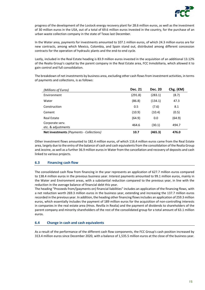

progress of the development of the Lostock energy recovery plant for 28.6 million euros, as well as the investment of 30 million euros in the USA, out of a total of 69.6 million euros invested in the country, for the purchase of an urban waste collection company in the state of Texas last December.

In the Water area, payments for investments amounted to 107.1 million euros, of which 24.3 million euros are for new contracts, among which Mexico, Colombia, and Spain stand out, distributed among different concession contracts for the operation of hydraulic plants and the end-to-end cycle.

Lastly, included in the Real Estate heading is 83.9 million euros invested in the acquisition of an additional 13.12% of the Realia Group's capital by the parent company in the Real Estate area, FCC Inmobiliaria, which allowed it to gain control and full consolidation.

The breakdown of net investments by business area, excluding other cash flows from investment activities, in terms of payments and collections, is as follows:

| (Millions of Euros)                             | Dec. 21 | <b>Dec. 20</b> | Chg. $(\epsilon M)$ |
|-------------------------------------------------|---------|----------------|---------------------|
| Environment                                     | (291.8) | (283.1)        | (8.7)               |
| Water                                           | (86.8)  | (134.1)        | 47.3                |
| Construction                                    | 0.5     | (7.6)          | 8.1                 |
| Cement                                          | (10.9)  | (10.4)         | (0.5)               |
| <b>Real Estate</b>                              | (64.9)  | 0.0            | (64.9)              |
| Corporate serv.<br>etc. & adjustments           | 464.6   | (30.1)         | 494.7               |
| <b>Net investments (Payments - Collections)</b> | 10.7    | (465.3)        | 476.0               |

Other investment flows amounted to 182.4 million euros, of which 116.4 million euros came from the Real Estate area, largely due to the entry of the balance of cash and cash equivalents from the consolidation of the Realia Group and Jezzine, as well as a further 36.9 million euros in Water from the cancellation and recovery of deposits and cash linked to various projects.

# **6.3 Financing cash flow**

The consolidated cash flow from financing in the year represents an application of 627.7 million euros compared to 138.4 million euros in the previous business year. Interest payments amounted to 99.1 million euros, mainly in the Water and Environment areas, with a substantial reduction compared to the previous year, in line with the reduction in the average balance of financial debt this year.

The heading "Proceeds from/(payments on) financial liabilities" includes an application of the financing flows, with a net reduction worth 269.3 million euros in the business year, extending and increasing the 137.7 million euros recorded in the previous year. In addition, the heading other financing flowsincludes an application of 259.3 million euros, which essentially includes the payment of 189 million euros for the acquisition of non‐controlling interests in companies in the real estate area (Hnos. Revilla in Realia) and the payment of dividends to shareholders of the parent company and minority shareholders of the rest of the consolidated group for a total amount of 63.1 million euros.

# **6.4 Change in cash and cash equivalents**

As a result of the performance of the different cash flow components, the FCC Group's cash position increased by 313.4 million euros since December 2020, with a balance of 1,535.5 million euros at the close of the business year.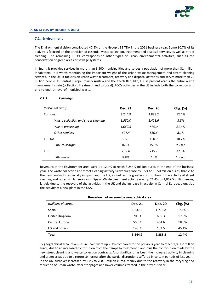

#### **7.1. Environment**

The Environment division contributed 47,5% of the Group's EBITDA in the 2021 business year. Some 80.7% of its activity is focused on the provision of essential waste collection, treatment and disposal services, as well as street cleaning. The remaining 19.3% corresponds to other types of urban environmental activities, such as the conservation of green areas or sewage systems.

In Spain, it provides services in more than 3,500 municipalities and serves a population of more than 31 million inhabitants. It is worth mentioning the important weight of the urban waste management and street cleaning services. In the UK, it focuses on urban waste treatment, recovery and disposal activities and serves more than 22 million people. In Central Europe, mainly Austria and the Czech Republic, FCC is present across the entire waste management chain (collection, treatment and disposal). FCC's activities in the US include both the collection and end‐to‐end retrieval of municipal waste.

| (Millions of euros)                  | <b>Dec. 21</b> | <b>Dec. 20</b> | Chg. (%) |
|--------------------------------------|----------------|----------------|----------|
| Turnover                             | 3.244.9        | 2.888.2        | 12.4%    |
| Waste collection and street cleaning | 1.550.0        | 1.428.6        | 8.5%     |
| Waste processing                     | 1.067.5        | 879.0          | 21.4%    |
| Other services                       | 627.4          | 580.6          | 8.1%     |
| EBITDA                               | 535.1          | 450.9          | 18.7%    |
| <b>EBITDA Margin</b>                 | 16.5%          | 15.6%          | 0.9 p.p  |
| EBIT                                 | 285.4          | 215.7          | 32.3%    |
| <b>EBIT</b> margin                   | 8.8%           | 7.5%           | 1.3 p.p  |

#### *7.1.1. Earnings*

Revenues at the Environment area were up 12.4% to reach 3,244.9 million euros at the end of the business year. The waste collection and street cleaning activity's revenues rose by 8.5% to 1.550 million euros, thanks to the new contracts, especially in Spain and the US, as well as the greater contribution in the activity of street cleaning and other similar services in Spain. Waste treatment activity was up 21.4% to 1,067.5 million euros, largely due to the recovery of the activities in the UK and the increase in activity in Central Europe, alongside the activity of a new plant in the USA.

| Breakdown of revenue by geographical area |                |         |               |
|-------------------------------------------|----------------|---------|---------------|
| (Millions of euros)                       | <b>Dec. 21</b> | Dec. 20 | $Chg.$ $(\%)$ |
| Spain                                     | 1.837.2        | 1.715.8 | 7.1%          |
| United Kingdom                            | 708.3          | 605.3   | 17.0%         |
| Central Europe                            | 550.7          | 464.6   | 18.5%         |
| US and others                             | 148.7          | 102.5   | 45.1%         |
| <b>Total</b>                              | 3.244.9        | 2.888.2 | 12.4%         |

By geographical area, revenues in Spain were up 7.1% compared to the previous year to reach 1,837.2 million euros, due to an increased contribution from the Campello treatment plant, plus the contribution made by the new street cleaning and waste collection contracts. Also significant has been the increased activity in cleaning and green areas due to a return to normal after the partial disruptions suffered in certain periods of last year. In the UK, turnover increased by 17% to 708.3 million euros, mainly due to the recovery in the recycling and reduction of urban waste, after stoppages and lower volumes treated in the previous year.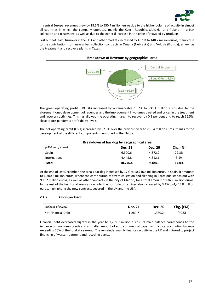

In central Europe, revenues grew by 18.5% to 550.7 million euros due to the higher volume of activity in almost all countries in which the company operates, mainly the Czech Republic, Slovakia, and Poland, in urban collection and treatment, as well as due to the general increase in the price of recycled by-products.

Last but not least, turnover in the USA and other markets increased by 45.1% to 148.7 million euros, mainly due to the contribution from new urban collection contracts in Omaha (Nebraska) and Volusia (Florida), as well as the treatment and recovery plants in Texas.



The gross operating profit (EBITDA) increased by a remarkable 18.7% to 535.1 million euros due to the aforementioned development of revenues and the improvement in volumes treated and prices in the treatment and recovery activities. This has allowed the operating margin to recover by 0.9 per cent and to reach 16.5%, close to pre‐pandemic profitability levels.

The net operating profit (EBIT) increased by 32.3% over the previous year to 285.4 million euros, thanks to the development of the different components mentioned in the Ebitda.

| Breakdown of backlog by geographical area |                |                |               |
|-------------------------------------------|----------------|----------------|---------------|
| (Millions of euros)                       | <b>Dec. 21</b> | <b>Dec. 20</b> | $Chg.$ $(\%)$ |
| Spain                                     | 6,300.6        | 4,872.2        | 29.3%         |
| International                             | 4.445.8        | 4.312.1        | 3.1%          |
| <b>Total</b>                              | 10.746.4       | 9,184.3        | 17.0%         |

At the end of last December, the area's backlog increased by 17% to 10,746.4 million euros. In Spain, it amounts to 6,300.6 million euros, where the contribution of street collection and cleaning in Barcelona stands out with 903.2 million euros, as well as other contracts in the city of Madrid, for a total amount of 682.6 million euros. In the rest of the territorial areas as a whole, the portfolio of services also increased by 3.1% to 4,445.8 million euros, highlighting the new contracts secured in the UK and the USA.

# *7.1.2. Financial Debt*

| (Millions of euros)       | Dec. 21 | <b>Dec. 20</b> | Chg. $(\epsilon M)$ |
|---------------------------|---------|----------------|---------------------|
| <b>Net Financial Debt</b> | 1.289.7 | 1.330.2        | (40.5)              |

Financial debt decreased slightly in the year to 1,289.7 million euros. Its main balance corresponds to the issuance of two green bonds and a smaller amount of euro commercial paper, with a total accounting balance exceeding 70% of the total at year-end. The remainder mainly finances activity in the UK and is linked to project financing of waste treatment and recycling plants.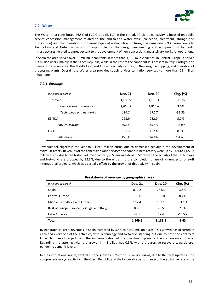

#### **7.2. Water**

The Water area contributed 26.5% of FCC Group EBITDA in the period. 90.1% of its activity is focused on public service concession management related to the end-to-end water cycle (collection, treatment, storage and distribution) and the operation of different types of water infrastructures; the remaining 9.9% corresponds to Technology and Networks, which is responsible for the design, engineering and equipment of hydraulic infrastructures, related to a great extent to the development of new concessions and ancillary works for operations.

In Spain the area serves over 13 million inhabitants in more than 1,100 municipalities. In Central Europe, it serves 1.3 million users, mainly in the Czech Republic, while in the rest of the continent it is present in Italy, Portugal and France. In Latin America, the Middle East, and Africa its activity centres on the design, equipping, and operation of processing plants. Overall, the Water area provides supply and/or sanitation services to more than 29 million inhabitants.

#### *7.2.1 Earnings*

| (Millions of euros)      | Dec. 21 | <b>Dec. 20</b> | Chg. (%) |
|--------------------------|---------|----------------|----------|
| Turnover                 | 1,169.5 | 1,188.3        | $-1.6%$  |
| Concessions and services | 1,053.3 | 1,016.6        | 3.6%     |
| Technology and networks  | 116.2   | 171.7          | $-32.3%$ |
| EBITDA                   | 298.9   | 282.9          | 5.7%     |
| <b>EBITDA Margin</b>     | 25.6%   | 23.8%          | 1.8 p.p  |
| EBIT                     | 181.3   | 167.4          | 8.3%     |
| EBIT margin              | 15.5%   | 14.1%          | 1.4 p.p  |

Revenues fell slightly in the year to 1,169.5 million euros, due to decreased activity in the development of hydraulic assets. Revenues of the concessions and services and core business activity were up by 3.6% to 1,053.3 million euros, due to the higher volume of activity in Spain and abroad. Moreover, the activity of the Technology and Networks are dropped by 32.3%, due to the entry into the completion phase of a number of one‐off international projects, which was partially offset by the growth of this activity in Spain.

| Breakdown of revenue by geographical area   |                |                |          |
|---------------------------------------------|----------------|----------------|----------|
| (Millions of euros)                         | <b>Dec. 21</b> | <b>Dec. 20</b> | Chg. (%) |
| Spain                                       | 814.2          | 784.3          | 3.8%     |
| Central Europe                              | 113.6          | 105.0          | 8.2%     |
| Middle East, Africa and Others              | 112.4          | 163.1          | $-31.1%$ |
| Rest of Europe (France, Portugal and Italy) | 80.8           | 78.5           | 2.9%     |
| Latin America                               | 48.5           | 57.4           | $-15.5%$ |
| <b>Total</b>                                | 1,169.5        | 1,188.3        | $-1.6%$  |

By geographical area, revenues in Spain increased by 3.8% to 814.2 million euros. This growth has occurred in each and every one of the activities, with Technology and Networks standing out due to both the contracts linked to one‐off projects and the implementation of the investment plans of the concession contracts. Regarding the latter activity, the growth in m3 billed was 0.5%, with a progressive recovery towards pre‐ pandemic demand levels.

In the international realm, Central Europe grew by 8.2% to 113.6 million euros, due to the tariff update in the comprehensive cycle activity in the Czech Republic and the favourable performance of the exchange rate of the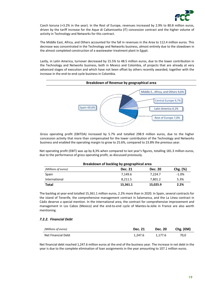

Czech koruna (+3.2% in the year). In the Rest of Europe, revenues increased by 2.9% to 80.8 million euros, driven by the tariff increase for the Aque di Caltanissetta (IT) concession contract and the higher volume of activity in Technology and Networks for this contract.

The Middle East, Africa, and Others accounted for the fall in revenues in the Area to 112.4 million euros. This decrease was concentrated in the Technology and Networks business, almost entirely due to the slowdown in the almost completed construction of a wastewater treatment plant in Egypt.

Lastly, in Latin America, turnover decreased by 15.5% to 48.5 million euros, due to the lower contribution in the Technology and Networks business, both in Mexico and Colombia, of projects that are already at very advanced stages of execution and which have not been offset by others recently awarded, together with the increase in the end‐to‐end cycle business in Colombia.



Gross operating profit (EBITDA) increased by 5.7% and totalled 298.9 million euros, due to the higher concession activity that more than compensated for the lower contribution of the Technology and Networks business and enabled the operating margin to grow to 25.6%, compared to 23.8% the previous year.

Net operating profit (EBIT) was up by 8,3% when compared to last year's figures, totalling 181.3 million euros, due to the performance of gross operating profit, as discussed previously.

| Breakdown of backlog by geographical area |          |                |          |
|-------------------------------------------|----------|----------------|----------|
| (Millions of euros)                       | Dec. 21  | <b>Dec. 20</b> | Chg. (%) |
| Spain                                     | 7.149.6  | 7.224.7        | $-1.0%$  |
| International                             | 8,211.5  | 7.801.2        | 5.3%     |
| <b>Total</b>                              | 15,361.1 | 15,025.9       | 2.2%     |

The backlog at year‐end totalled 15,361.1 million euros, 2.2% more than in 2020. In Spain, several contracts for the island of Tenerife, the comprehensive management contract in Salamanca, and the La Línea contract in Cádiz deserve a special mention. In the international area, the contract for comprehensive improvement and management in Los Cabos (Mexico) and the end-to-end cycle of Mantes-la-Jolie in France are also worth mentioning.

# *7.2.2. Financial Debt*

| (Millions of euros)       | <b>Dec. 21</b> | <b>Dec. 20</b> | Chg. $(\epsilon M)$ |
|---------------------------|----------------|----------------|---------------------|
| <b>Net Financial Debt</b> | 1.247.6        | 1.177.6        | 70.0                |

Net financial debt reached 1,247.6 million euros at the end of the business year. The increase in net debt in the year is due to the complete elimination of loan assignments in the year amounting to 107.1 million euros.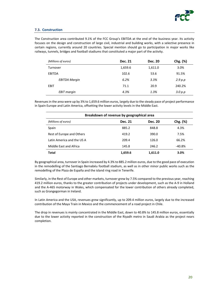

# **7.3. Construction**

The Construction area contributed 9.1% of the FCC Group's EBITDA at the end of the business year. Its activity focuses on the design and construction of large civil, industrial and building works, with a selective presence in certain regions, currently around 20 countries. Special mention should go to participation in major works like railways, tunnels, bridges and football stadiums that constituted a major part of the activity.

| (Millions of euros)  | <b>Dec. 21</b> | <b>Dec. 20</b> | Chg. (%) |
|----------------------|----------------|----------------|----------|
| Turnover             | 1,659.6        | 1,611.0        | 3.0%     |
| EBITDA               | 102.6          | 53.6           | 91.5%    |
| <b>EBITDA Margin</b> | 6.2%           | 3.3%           | 2.9 p.p  |
| EBIT                 | 71.1           | 20.9           | 240.2%   |
| <b>EBIT</b> margin   | 4.3%           | 1.3%           | 3.0 p.p  |

Revenuesin the area were up by 3% to 1,659.6 million euros, largely due to the steady pace of project performance in Spain Europe and Latin America, offsetting the lower activity levels in the Middle East.

| Breakdown of revenue by geographical area |                |         |          |
|-------------------------------------------|----------------|---------|----------|
| (Millions of euros)                       | <b>Dec. 21</b> | Dec. 20 | Chg. (%) |
| Spain                                     | 885.2          | 848.8   | 4.3%     |
| Rest of Europe and Others                 | 419.2          | 390.0   | 7.5%     |
| Latin America and the US A                | 209.4          | 126.0   | 66.2%    |
| Middle East and Africa                    | 145.8          | 246.2   | $-40.8%$ |
| <b>Total</b>                              | 1,659.6        | 1.611.0 | 3.0%     |

By geographical area, turnover in Spain increased by 4.3% to 885.2 million euros, due to the good pace of execution in the remodelling of the Santiago Bernabéu football stadium, as well as in other minor public works such as the remodelling of the Plaza de España and the island ring road in Tenerife.

Similarly, in the Rest of Europe and other markets, turnover grew by 7.5% compared to the previous year, reaching 419.2 million euros, thanks to the greater contribution of projects under development, such as the A‐9 in Holland and the A-465 motorway in Wales, which compensated for the lower contribution of others already completed, such as Grangegorman in Ireland.

In Latin America and the USA, revenues grew significantly, up to 209.4 million euros, largely due to the increased contribution of the Maya Train in Mexico and the commencement of a road project in Chile.

The drop in revenues is mainly concentrated in the Middle East, down to 40.8% to 145.8 million euros, essentially due to the lower activity reported in the construction of the Riyadh metro in Saudi Arabia as the project nears completion.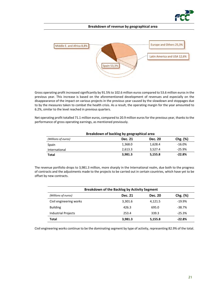

#### **Breakdown of revenue by geographical area**



Gross operating profit increased significantly by 91.5% to 102.6 million euros compared to 53.6 million euros in the previous year. This increase is based on the aforementioned development of revenues and especially on the disappearance of the impact on various projects in the previous year caused by the slowdown and stoppages due to by the measures taken to combat the health crisis. As a result, the operating margin for the year amounted to 6.2%, similar to the level reached in previous quarters.

Net operating profit totalled 71.1 million euros, compared to 20.9 million euros for the previous year, thanks to the performance of gross operating earnings, as mentioned previously.

| Breakdown of backlog by geographical area |                |                |          |
|-------------------------------------------|----------------|----------------|----------|
| (Millions of euros)                       | <b>Dec. 21</b> | <b>Dec. 20</b> | Chg. (%) |
| Spain                                     | 1,368.0        | 1,628.4        | $-16.0%$ |
| International                             | 2,613.3        | 3.527.4        | $-25.9%$ |
| Total                                     | 3,981.3        | 5,155.8        | $-22.8%$ |

The revenue portfolio drops to 3,981.3 million, more sharply in the International realm, due both to the progress of contracts and the adjustments made to the projects to be carried out in certain countries, which have yet to be offset by new contracts.

| <b>Breakdown of the Backlog by Activity Segment</b> |                |                |               |  |
|-----------------------------------------------------|----------------|----------------|---------------|--|
| (Millions of euros)                                 | <b>Dec. 21</b> | <b>Dec. 20</b> | $Chg.$ $(\%)$ |  |
| Civil engineering works                             | 3,301.6        | 4,121.5        | $-19.9%$      |  |
| <b>Building</b>                                     | 426.3          | 695.0          | $-38.7%$      |  |
| Industrial Projects                                 | 253.4          | 339.3          | $-25.3%$      |  |
| <b>Total</b>                                        | 3,981.3        | 5,155.8        | $-22.8%$      |  |

Civil engineering works continue to be the dominating segment by type of activity, representing 82.9% of the total.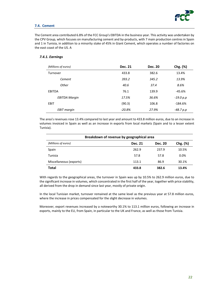

# **7.4. Cement**

The Cement area contributed 6.8% of the FCC Group's EBITDA in the business year. This activity was undertaken by the CPV Group, which focuses on manufacturing cement and by-products, with 7 main production centres in Spain and 1 in Tunisia, in addition to a minority stake of 45% in Giant Cement, which operates a number of factories on the east coast of the US. A

# *7.4.1. Earnings*

| (Millions of euros)  | <b>Dec. 21</b> | <b>Dec. 20</b> | Chg. (%)   |
|----------------------|----------------|----------------|------------|
| Turnover             | 433.8          | 382.6          | 13.4%      |
| Cement               | 393.2          | 345.2          | 13.9%      |
| Other                | 40.6           | 37.4           | 8.6%       |
| <b>EBITDA</b>        | 76.1           | 139.9          | $-45.6%$   |
| <b>EBITDA Margin</b> | 17.5%          | 36.6%          | -19.0 p.p  |
| EBIT                 | (90.3)         | 106.8          | $-184.6\%$ |
| <b>EBIT</b> margin   | $-20.8%$       | 27.9%          | -48.7 p.p  |

The area's revenues rose 13.4% compared to last year and amount to 433.8 million euros, due to an increase in volumes invoiced in Spain as well as an increase in exports from local markets (Spain and to a lesser extent Tunisia).

| Breakdown of revenue by geographical area |                |         |               |
|-------------------------------------------|----------------|---------|---------------|
| (Millions of euros)                       | <b>Dec. 21</b> | Dec. 20 | $Chg.$ $(\%)$ |
| Spain                                     | 262.9          | 237.9   | 10.5%         |
| Tunisia                                   | 57.8           | 57.8    | $0.0\%$       |
| Miscellaneous (exports)                   | 113.1          | 86.9    | 30.1%         |
| <b>Total</b>                              | 433.8          | 382.6   | 13.4%         |

With regards to the geographical areas, the turnover in Spain was up by 10.5% to 262.9 million euros, due to the significant increase in volumes, which concentrated in the first half of the year, together with price stability, all derived from the drop in demand since last year, mostly of private origin.

In the local Tunisian market, turnover remained at the same level as the previous year at 57.8 million euros, where the increase in prices compensated for the slight decrease in volumes.

Moreover, export revenues increased by a noteworthy 30.1% to 113.1 million euros, following an increase in exports, mainly to the EU, from Spain, in particular to the UK and France, as well as those from Tunisia.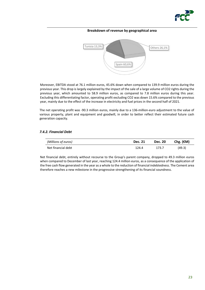

#### **Breakdown of revenue by geographical area**



Moreover, EBITDA stood at 76.1 million euros, 45.6% down when compared to 139.9 million euros during the previous year. This drop is largely explained by the impact of the sale of a large volume of CO2 rights during the previous year, which amounted to 58.9 million euros, as compared to 7.8 million euros during this year. Excluding this differentiating factor, operating profit excluding CO2 was down 15.6% compared to the previous year, mainly due to the effect of the increase in electricity and fuel prices in the second half of 2021.

The net operating profit was ‐90.3 million euros, mainly due to a 136‐million‐euro adjustment to the value of various property, plant and equipment and goodwill, in order to better reflect their estimated future cash generation capacity.

# *7.4.2. Financial Debt*

| (Millions of euros) | <b>Dec. 21</b> | <b>Dec. 20</b> | Chg. $(\epsilon M)$ |
|---------------------|----------------|----------------|---------------------|
| Net financial debt  | 124.4          | 173.7          | (49.3)              |

Net financial debt, entirely without recourse to the Group's parent company, dropped to 49.3 million euros when compared to December of last year, reaching 124.4 million euros, as a consequence of the application of the free cash flow generated in the year as a whole to the reduction of financial indebtedness. The Cement area therefore reaches a new milestone in the progressive strengthening of its financial soundness.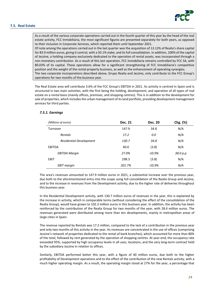#### **7.5. Real Estate**



As a result of the various corporate operations carried out in the fourth quarter of this year by the head of the real estate activity, FCC Inmobiliaria, the most significant figures are presented separately for both years, as opposed to their inclusion in Corporate Services, which reported them until September 2021. Of note among the operations carried out in the last quarter was the acquisition of 13.12% of Realia's share capital for 83.9 million euros, giving it control, with a 50.1% stake, and itsfull consolidation. In addition, 100% of the capital of Jezzine, a holding company exclusively dedicated to the operation of rental assets, was incorporated through a non‐monetary contribution. As a result of this last operation, FCC Inmobiliaria remains controlled by FCC SA, with 80.03% of its capital. These operations allow for a significant strengthening of FCC Inmobiliaria's competitive position and the weight of the rental property business, as well as the enhancement of operating synergies. The two corporate incorporations described above, Grupo Realia and Jezzine, only contribute to the FCC Group's operations for two months of the business year.

The Real Estate area will contribute 3.6% of the FCC Group's EBITDA in 2021. Its activity is centred in Spain and is structured in two main activities, with the first being the holding, development, and operation of all types of real estate on a rental basis (mainly offices, premises, and shopping centres). This is in addition to the development for sale of properties, which includes the urban management of its land portfolio, providing development management services for third parties.

#### *7.5.1. Earnings*

| (Millions of euros)            | <b>Dec. 21</b> | <b>Dec. 20</b> | Chg. (%) |
|--------------------------------|----------------|----------------|----------|
| Turnover                       | 147.9          | 34.8           | N/A      |
| Rentals                        | 17.2           | 0.0            | N/A      |
| <b>Residential Development</b> | 130.7          | 34.8           | N/A      |
| <b>EBITDA</b>                  | 40.0           | (3.8)          | N/A      |
| <b>EBITDA Margin</b>           | 27.0%          | $-10.9%$       | 38.0 p.p |
| <b>EBIT</b>                    | 298.3          | (3.8)          | N/A      |
| <b>EBIT</b> margin             | 201.7%         | $-10.9%$       | N/A      |

The area's revenues amounted to 147.9 million euros in 2021, a substantial increase over the previous year, due both to the aforementioned entry into the scope using full consolidation of the Realia Group and Jezzine, and to the increase in revenues from the Development activity, due to the higher rate of deliveries throughout this business year.

In the Residential Development activity, with 130.7 million euros of revenues in the year, this is explained by the increase in activity, which in comparable terms (without considering the effect of the consolidation of the Realia Group), would have grown to 102.3 million euros in this business year. In addition, the activity has been reinforced by the contribution of the Realia Group for two months of the year, with 28.4 million euros. The revenues generated were distributed among more than ten developments, mainly in metropolitan areas of large cities in Spain.

The revenue reported by Rentals was 17.2 million, compared to the lack of a contribution in the previous year and only two months of this activity in the year. Its revenues are concentrated in the use of offices (comprising Jezzine's network of properties dedicated to the rental of bank branches), which accounted for more than 80% of the total, followed by rent generated by the operation of shopping centres. At year-end, the occupancy rate exceeded 95%, supported by high occupancy levels in all uses, locations, and the very long‐term contract held by the subsidiary Jezzine in relation to offices.

Similarly, EBITDA performed better this year, with a figure of 40 million euros, due both to the higher profitability of Development operations and to the effect of the contribution of the new Rentals activity, with a much higher operating margin. As a result, the operating margin stood at 27% for the year, a percentage that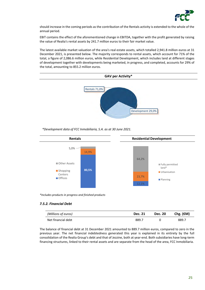

should increase in the coming periods as the contribution of the Rentals activity is extended to the whole of the annual period.

EBIT contains the effect of the aforementioned change in EBITDA, together with the profit generated by raising the value of Realia's rental assets by 241.7 million euros to their fair market value.

The latest available market valuation of the area's real estate assets, which totalled 2,941.8 million euros at 31 December 2021, is presented below. The majority corresponds to rental assets, which account for 71% of the total, a figure of 2,086.6 million euros, while Residential Development, which includes land at different stages of development together with developments being marketed, in progress, and completed, accounts for 29% of the total, amounting to 855.2 million euros.



*\*Development data of FCC Inmobiliaria, S.A. as at 30 June 2021.*



*\*Includes products in progress and finished products*

# *7.5.2. Financial Debt*

| (Millions of euros) | <b>Dec. 21</b> | <b>Dec. 20</b> | Chg. $(\epsilon M)$ |
|---------------------|----------------|----------------|---------------------|
| Net financial debt  | 889.,          |                | 889.7               |

The balance of financial debt at 31 December 2021 amounted to 889.7 million euros, compared to zero in the previous year. The net financial indebtedness generated this year is explained in its entirety by the full consolidation of the Realia Group's debt and that of Jezzine, both at year‐end. Both subsidiaries have long‐term financing structures, linked to their rental assets and are separate from the head of the area, FCC Inmobiliaria.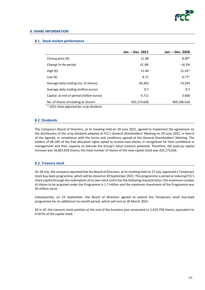

#### **8. SHARE INFORMATION**

#### **8.1. Stock market performance**

|                                                                                 | Jan. – Dec. 2021 | Jan. – Dec. 2020 |
|---------------------------------------------------------------------------------|------------------|------------------|
| Closing price $(\epsilon)$                                                      | 11.08            | $8.40*$          |
| Change in the period                                                            | 31.9%            | -16.3%           |
| High $(\epsilon)$                                                               | 11.40            | $11.56*$         |
| Low $(\epsilon)$                                                                | 8.71             | $6.77*$          |
| Average daily trading (no. of shares)                                           | 69,303           | 74,593           |
| Average daily trading (million euros)                                           | 0.7              | 0.7              |
| Capital. at end of period (million euros)                                       | 4.711            | 3.600            |
| No. of shares circulating at closure<br>* 2021 Data adjusted for serin dividend | 425,173.636      | 409,106.618      |

 *\* 2021 Data adjusted for scrip dividend*

#### **8.2. Dividends**

The Company's Board of Directors, at its meeting held on 29 June 2021, agreed to implement the agreement on the distribution of the scrip dividend adopted at FCC's General Shareholders' Meeting on 29 June 2021, in item 6 of the Agenda, in compliance with the terms and conditions agreed at the General Shareholders' Meeting. The holders of 98.18% of the free allocation rights opted to receive new shares, in recognition for their confidence in management and their capacity to execute the Group's value creation potential. Therefore, the paid‐up capital increase was 16,067,018 shares; the total number of shares of the new capital stock was 425,173,636.

# **8.3. Treasury stock**

On 28 July, the company reported that the Board of Directors, at its meeting held on 27 July, approved a Temporary stock buy‐back programme, which will be closed on 30 September 2021. This programme is aimed at reducing FCC's share capital through the redemption of its own stock and it has the following characteristics: the maximum number of shares to be acquired under the Programme is 1.7 million and the maximum investment of the Programme was 20 million euros.

Subsequently, on 23 September, the Board of Directors agreed to extend the Temporary stock buy‐back programme for an additional six‐month period, which will end on 30 March 2022.

All in all, the treasury stock position at the end of the business year amounted to 2,410,758 shares, equivalent to 0.567% of the capital stock.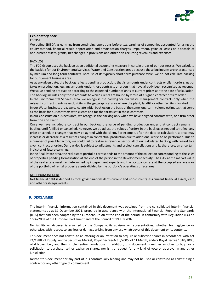

# **Explanatory note**

#### EBITDA

We define EBITDA as earnings from continuing operations before tax, earnings of companies accounted for using the equity method, financial result, depreciation and amortisation charges, impairment, gains or losses on disposals of non-current assets, grants, net changes in provisions and other non-recurring revenues and expenses.

#### **BACKLOG**

The FCC Group uses the backlog as an additional accounting measure in certain areas of our businesses. We calculate the backlog for our Environmental Services, Water and Construction areas because these businesses are characterised by medium and long-term contracts. Because of its typically short-term purchase cycle, we do not calculate backlog for our Cement business area.

As at any given date, the backlog reflects pending production, that is, amounts under contracts or client orders, net of taxes on production, less any amounts under those contracts or orders that have already been recognised as revenue. We value pending production according to the expected number of units at current prices as at the date of calculation. The backlog includes only those amounts to which clients are bound by virtue of a signed contract or firm order.

In the Environmental Services area, we recognise the backlog for our waste management contracts only when the relevant contract grants us exclusivity in the geographical area where the plant, landfill or other facility is located.

In our Water business area, we calculate initial backlog on the basis of the same long-term volume estimates that serve as the basis for our contracts with clients and for the tariffs set in those contracts.

In our Construction business area, we recognise the backlog only when we have a signed contract with, or a firm order from, the end client.

Once we have included a contract in our backlog, the value of pending production under that contract remains in backlog until fulfilled or cancelled. However, we do adjust the values of orders in the backlog as needed to reflect any price or schedule changes that may be agreed with the client. For example, after the date of calculation, a price may increase or decrease as a result of changes in contractual production due to additional works to be performed. Due to a number of possible factors, we could fail to realise as revenue part or all of our calculated backlog with regard to a given contract or order. Our backlog is subject to adjustments and project cancellations and is, therefore, an uncertain indicator of future earnings.

In the Real Estate area, the real estate portfolio corresponds to the amount of the collection corresponding to the sales of properties pending formalisation at the end of the period in the Development activity. The GAV at the market value of the real estate assets as determined by independent experts and the occupancy rate at the occupied surface area of the portfolio of rental property assets divided by the portfolio's operating surface area.

#### NET FINANCIAL DEBT

Net financial debt is defined as total gross financial debt (current and non‐current) less current financial assets, cash and other cash equivalents.

# **9. DISCLAIMER**

The interim financial information contained in this document was obtained from the consolidated interim financial statements as at 31 December 2021, prepared in accordance with the International Financial Reporting Standards (IFRS) that had been adopted by the European Union at the end of the period, in conformity with Regulation (EC) no 1606/2002 of the European Parliament and of the Council of 19 July 2002.

No liability whatsoever is assumed by the Company, its advisors or representatives, whether for negligence or otherwise, with respect to any loss or damage arising from any use whatsoever of this document or its contents.

This document does not constitute an offering or an invitation to acquire or subscribe shares in accordance with Act 24/1988, of 28 July, on the Securities Market, Royal Decree‐Act 5/2005, of 11 March, and/or Royal Decree 1310/2005, of 4 November, and their implementing regulations. In addition, this document is neither an offer to buy nor a solicitation to purchase, sell or exchange shares, nor is it a request for any kind of vote or approval in any other jurisdiction.

Neither this document nor any part of it is contractually binding and may not be used or construed as constituting a contract or any other type of commitment.